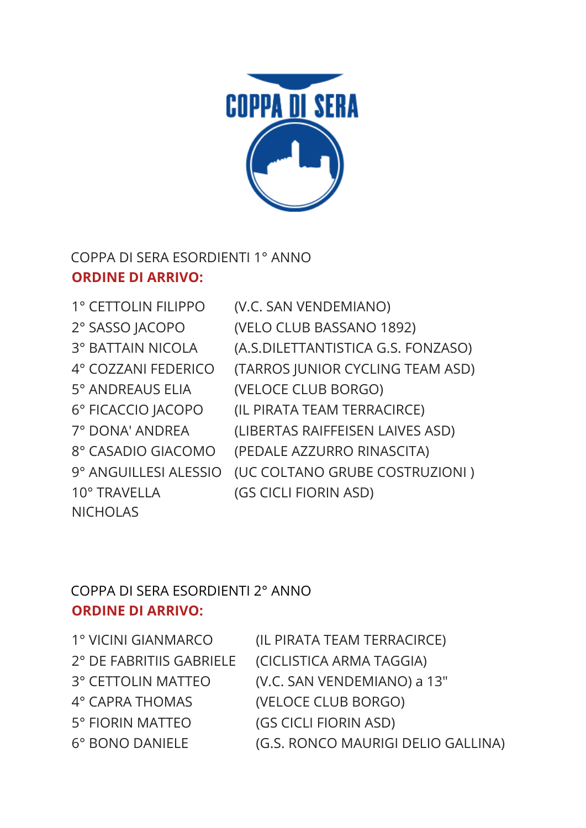3° BATTAIN NICOLA (A.S.DILETTANTISTICA G.S. FONZASO) 4° COZZANI FEDERICO (TARROS JUNIOR CYCLING TEAM ASD) 5° ANDREAUS ELIA (VELOCE CLUB BORGO) 6° FICACCIO JACOPO (IL PIRATA TEAM TERRACIRCE) 7° DONA' ANDREA (LIBERTAS RAIFFEISEN LAIVES ASD) 8° CASADIO GIACOMO (PEDALE AZZURRO RINASCITA) 9° ANGUILLESI ALESSIO (UC COLTANO GRUBE COSTRUZIONI ) 10° TRAVELLA **NICHOLAS** (GS CICLI FIORIN ASD)

## **ORDINE DI ARRIVO:**

COPPA DI SERA ESORDIENTI 1° ANNO

1° CETTOLIN FILIPPO (V.C. SAN VENDEMIANO)

2° SASSO JACOPO (VELO CLUB BASSANO 1892)



1° VICINI GIANMARCO (IL PIRATA TEAM TERRACIRCE) 2° DE FABRITIIS GABRIELE (CICLISTICA ARMA TAGGIA) 3° CETTOLIN MATTEO (V.C. SAN VENDEMIANO) a 13" 4° CAPRA THOMAS (VELOCE CLUB BORGO) 5° FIORIN MATTEO (GS CICLI FIORIN ASD) 6° BONO DANIELE (G.S. RONCO MAURIGI DELIO GALLINA)

## COPPA DI SERA ESORDIENTI 2° ANNO **ORDINE DI ARRIVO:**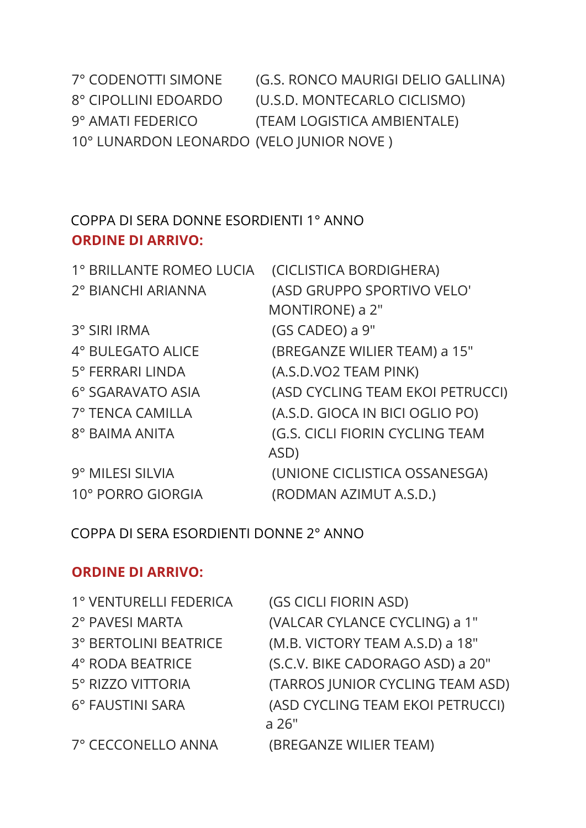| 2° PAVESI MARTA       | (VALCAR CYLANCE CYCLING) a 1"    |
|-----------------------|----------------------------------|
| 3° BERTOLINI BEATRICE | (M.B. VICTORY TEAM A.S.D) a 18"  |
| 4° RODA BEATRICE      | (S.C.V. BIKE CADORAGO ASD) a 20" |
| 5° RIZZO VITTORIA     | (TARROS JUNIOR CYCLING TEAM ASD) |
| 6° FAUSTINI SARA      | (ASD CYCLING TEAM EKOI PETRUCCI) |
|                       | a 26"                            |
| 7° CECCONELLO ANNA    | (BREGANZE WILIER TEAM)           |

## **ORDINE DI ARRIVO:**

COPPA DI SERA ESORDIENTI DONNE 2° ANNO

1° VENTURELLI FEDERICA (GS CICLI FIORIN ASD)

| 2° BIANCHI ARIANNA | (ASD GRUPPO SPORTIVO VELO'       |
|--------------------|----------------------------------|
|                    | MONTIRONE) a 2"                  |
| 3° SIRI IRMA       | (GS CADEO) a 9"                  |
| 4° BULEGATO ALICE  | (BREGANZE WILIER TEAM) a 15"     |
| 5° FERRARI LINDA   | (A.S.D.VO2 TEAM PINK)            |
| 6° SGARAVATO ASIA  | (ASD CYCLING TEAM EKOI PETRUCCI) |
| 7° TENCA CAMILLA   | (A.S.D. GIOCA IN BICI OGLIO PO)  |
| 8° BAIMA ANITA     | (G.S. CICLI FIORIN CYCLING TEAM  |
|                    | ASD)                             |
| 9° MILESI SILVIA   | (UNIONE CICLISTICA OSSANESGA)    |
| 10° PORRO GIORGIA  | (RODMAN AZIMUT A.S.D.)           |

1° BRILLANTE ROMEO LUCIA (CICLISTICA BORDIGHERA)

## COPPA DI SERA DONNE ESORDIENTI 1° ANNO **ORDINE DI ARRIVO:**

| 7° CODENOTTI SIMONE                      | (G.S. RONCO MAURIGI DELIO GALLINA) |
|------------------------------------------|------------------------------------|
| 8° CIPOLLINI EDOARDO                     | (U.S.D. MONTECARLO CICLISMO)       |
| 9° AMATI FEDERICO                        | (TEAM LOGISTICA AMBIENTALE)        |
| 10° LUNARDON LEONARDO (VELO JUNIOR NOVE) |                                    |